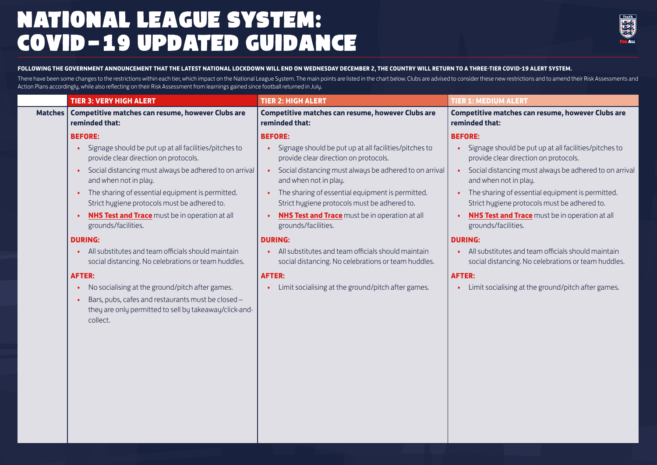## NATIONAL LEAGUE SYSTEM: COVID-19 UPDATED GUIDANCE



#### **FOLLOWING THE GOVERNMENT ANNOUNCEMENT THAT THE LATEST NATIONAL LOCKDOWN WILL END ON WEDNESDAY DECEMBER 2, THE COUNTRY WILL RETURN TO A THREE-TIER COVID-19 ALERT SYSTEM.**

There have been some changes to the restrictions within each tier, which impact on the National League System. The main points are listed in the chart below. Clubs are advised to consider these new restrictions and to amen Action Plans accordingly, while also reflecting on their Risk Assessment from learnings gained since football returned in July.

|                | <b>TIER 3: VERY HIGH ALERT</b>                                                                                                                                                                        | <b>TIER 2: HIGH ALERT</b>                                                                                              | <b>TIER 1: MEDIUM ALERT</b>                                                                               |
|----------------|-------------------------------------------------------------------------------------------------------------------------------------------------------------------------------------------------------|------------------------------------------------------------------------------------------------------------------------|-----------------------------------------------------------------------------------------------------------|
| <b>Matches</b> | Competitive matches can resume, however Clubs are<br>reminded that:                                                                                                                                   | Competitive matches can resume, however Clubs are<br>reminded that:                                                    | Competitive matches can resume, however Clubs are<br>reminded that:                                       |
|                | <b>BEFORE:</b>                                                                                                                                                                                        | <b>BEFORE:</b>                                                                                                         | <b>BEFORE:</b>                                                                                            |
|                | Signage should be put up at all facilities/pitches to<br>provide clear direction on protocols.                                                                                                        | Signage should be put up at all facilities/pitches to<br>provide clear direction on protocols.                         | Signage should be put up at all facilities/pitches to<br>provide clear direction on protocols.            |
|                | Social distancing must always be adhered to on arrival<br>$\bullet$<br>and when not in play.                                                                                                          | Social distancing must always be adhered to on arrival<br>$\bullet$<br>and when not in play.                           | • Social distancing must always be adhered to on arrival<br>and when not in play.                         |
|                | The sharing of essential equipment is permitted.<br>$\bullet$<br>Strict hygiene protocols must be adhered to.                                                                                         | The sharing of essential equipment is permitted.<br>Strict hygiene protocols must be adhered to.                       | The sharing of essential equipment is permitted.<br>Strict hygiene protocols must be adhered to.          |
|                | <b>NHS Test and Trace</b> must be in operation at all<br>grounds/facilities.                                                                                                                          | <b>NHS Test and Trace</b> must be in operation at all<br>grounds/facilities.                                           | <b>NHS Test and Trace</b> must be in operation at all<br>grounds/facilities.                              |
|                | <b>DURING:</b>                                                                                                                                                                                        | <b>DURING:</b>                                                                                                         | <b>DURING:</b>                                                                                            |
|                | All substitutes and team officials should maintain<br>social distancing. No celebrations or team huddles.                                                                                             | All substitutes and team officials should maintain<br>$\bullet$<br>social distancing. No celebrations or team huddles. | All substitutes and team officials should maintain<br>social distancing. No celebrations or team huddles. |
|                | <b>AFTER:</b>                                                                                                                                                                                         | <b>AFTER:</b>                                                                                                          | <b>AFTER:</b>                                                                                             |
|                | No socialising at the ground/pitch after games.<br>$\bullet$<br>Bars, pubs, cafes and restaurants must be closed -<br>$\bullet$<br>they are only permitted to sell by takeaway/click-and-<br>collect. | Limit socialising at the ground/pitch after games.                                                                     | Limit socialising at the ground/pitch after games.                                                        |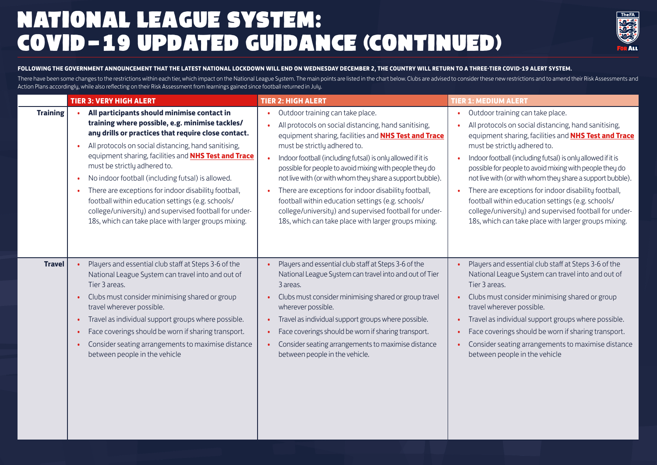## NATIONAL LEAGUE SYSTEM: COVID-19 UPDATED GUIDANCE (CONTINUED)



#### **FOLLOWING THE GOVERNMENT ANNOUNCEMENT THAT THE LATEST NATIONAL LOCKDOWN WILL END ON WEDNESDAY DECEMBER 2, THE COUNTRY WILL RETURN TO A THREE-TIER COVID-19 ALERT SYSTEM.**

There have been some changes to the restrictions within each tier, which impact on the National League Sustem. The main points are listed in the chart below. Clubs are advised to consider these new restrictions and to amen Action Plans accordingly, while also reflecting on their Risk Assessment from learnings gained since football returned in July.

|                 | <b>TIER 3: VERY HIGH ALERT</b>                              | <b>TIER 2: HIGH ALERT</b>                                   | <b>TIER 1: MEDIUM ALERT</b>                                 |
|-----------------|-------------------------------------------------------------|-------------------------------------------------------------|-------------------------------------------------------------|
| <b>Training</b> | All participants should minimise contact in                 | Outdoor training can take place.                            | Outdoor training can take place.                            |
|                 | training where possible, e.g. minimise tackles/             | All protocols on social distancing, hand sanitising,        | All protocols on social distancing, hand sanitising,        |
|                 | any drills or practices that require close contact.         | equipment sharing, facilities and NHS Test and Trace        | equipment sharing, facilities and <b>NHS Test and Trace</b> |
|                 | All protocols on social distancing, hand sanitising,        | must be strictly adhered to.                                | must be strictly adhered to.                                |
|                 | equipment sharing, facilities and <b>NHS Test and Trace</b> | Indoor football (including futsal) is only allowed if it is | Indoor football (including futsal) is only allowed if it is |
|                 | must be strictly adhered to.                                | possible for people to avoid mixing with people they do     | possible for people to avoid mixing with people they do     |
|                 | No indoor football (including futsal) is allowed.           | not live with (or with whom they share a support bubble).   | not live with (or with whom they share a support bubble).   |
|                 | There are exceptions for indoor disability football,        | There are exceptions for indoor disability football,        | There are exceptions for indoor disability football,        |
|                 | football within education settings (e.g. schools/           | football within education settings (e.g. schools/           | football within education settings (e.g. schools/           |
|                 | college/university) and supervised football for under-      | college/university) and supervised football for under-      | college/university) and supervised football for under-      |
|                 | 18s, which can take place with larger groups mixing.        | 18s, which can take place with larger groups mixing.        | 18s, which can take place with larger groups mixing.        |
| <b>Travel</b>   | Players and essential club staff at Steps 3-6 of the        | Players and essential club staff at Steps 3-6 of the        | Players and essential club staff at Steps 3-6 of the        |
|                 | National League System can travel into and out of           | National League System can travel into and out of Tier      | National League System can travel into and out of           |
|                 | Tier 3 areas.                                               | 3 areas.                                                    | Tier 3 areas.                                               |
|                 | Clubs must consider minimising shared or group              | Clubs must consider minimising shared or group travel       | Clubs must consider minimising shared or group              |
|                 | travel wherever possible.                                   | wherever possible.                                          | travel wherever possible.                                   |
|                 | Travel as individual support groups where possible.         | Travel as individual support groups where possible.         | Travel as individual support groups where possible.         |
|                 | Face coverings should be worn if sharing transport.         | Face coverings should be worn if sharing transport.         | Face coverings should be worn if sharing transport.         |
|                 | Consider seating arrangements to maximise distance          | Consider seating arrangements to maximise distance          | Consider seating arrangements to maximise distance          |
|                 | between people in the vehicle                               | between people in the vehicle.                              | between people in the vehicle                               |